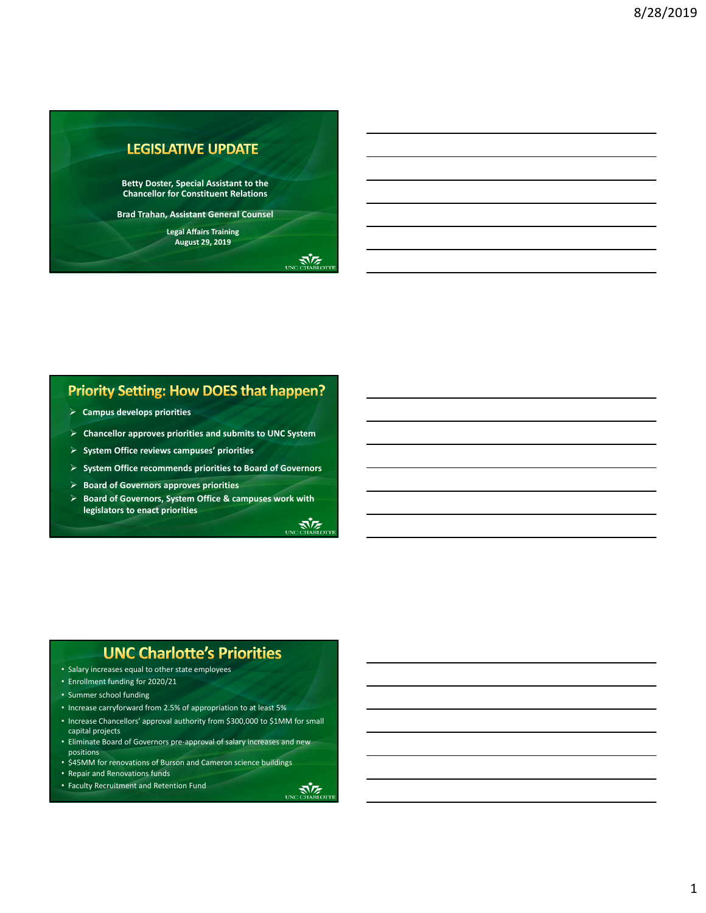

### **Priority Setting: How DOES that happen?**

- **Campus develops priorities**
- **Chancellor approves priorities and submits to UNC System**
- **System Office reviews campuses' priorities**
- **System Office recommends priorities to Board of Governors**
- **Board of Governors approves priorities**
- **Board of Governors, System Office & campuses work with legislators to enact priorities**

#### **UNC Charlotte's Priorities**

- Salary increases equal to other state employees
- Enrollment funding for 2020/21
- Summer school funding
- Increase carryforward from 2.5% of appropriation to at least 5%
- Increase Chancellors' approval authority from \$300,000 to \$1MM for small capital projects
- Eliminate Board of Governors pre-approval of salary increases and new positions
- \$45MM for renovations of Burson and Cameron science buildings
- Repair and Renovations funds
- Faculty Recruitment and Retention Fund

₹∖≥

UNC CHARLOTTE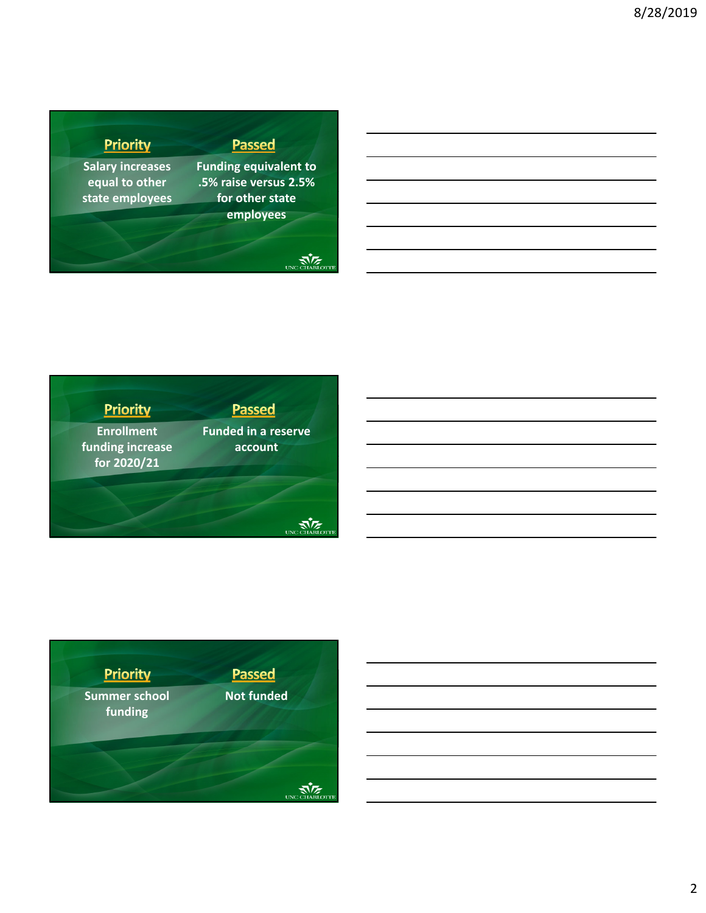## Priority

**Salary increases equal to other state employees** **Funding equivalent to .5% raise versus 2.5% for other state employees**

**Passed** 

### UNC CHARLOTTE







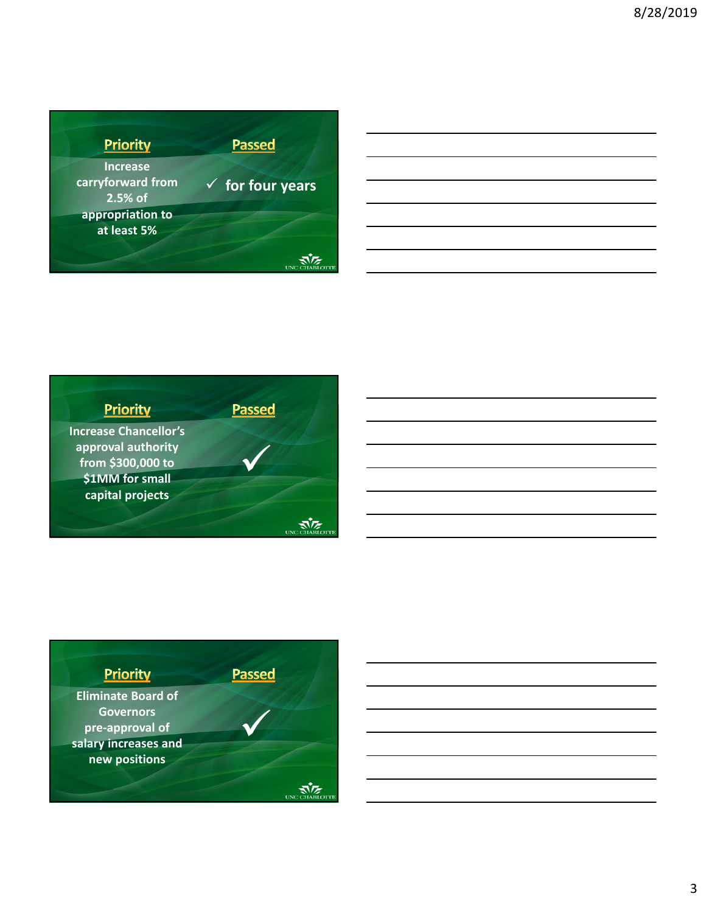

| <u> 1989 - Johann Stoff, amerikan bestemanns foar it ferskearre fan de ferskearre fan de ferskearre fan de ferske</u> |  |  |
|-----------------------------------------------------------------------------------------------------------------------|--|--|
|                                                                                                                       |  |  |
| <u> 1989 - Johann Stoff, deutscher Stoff, der Stoff, der Stoff, der Stoff, der Stoff, der Stoff, der Stoff, der S</u> |  |  |
| <u> 1989 - Johann Stoff, deutscher Stoffen und der Stoffen und der Stoffen und der Stoffen und der Stoffen und de</u> |  |  |
| <u> 1989 - Johann Stoff, deutscher Stoff, der Stoff, der Stoff, der Stoff, der Stoff, der Stoff, der Stoff, der S</u> |  |  |
|                                                                                                                       |  |  |



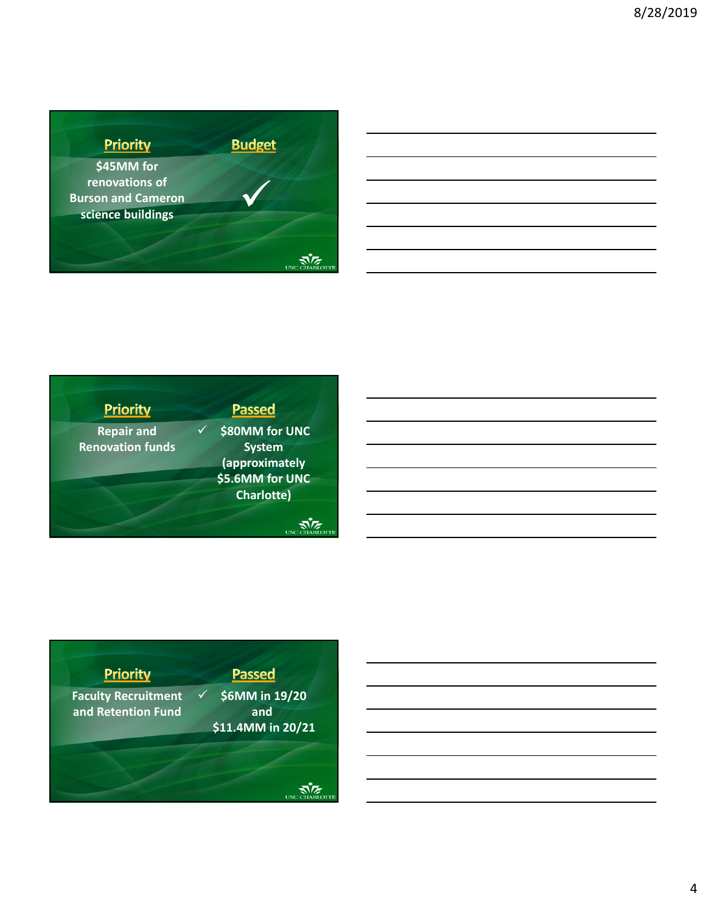

| <b>Priority</b>         | <b>Passed</b>     |
|-------------------------|-------------------|
| <b>Repair and</b>       | \$80MM for UNC    |
| <b>Renovation funds</b> | <b>System</b>     |
|                         | (approximately    |
|                         | \$5.6MM for UNC   |
|                         | <b>Charlotte)</b> |
|                         |                   |





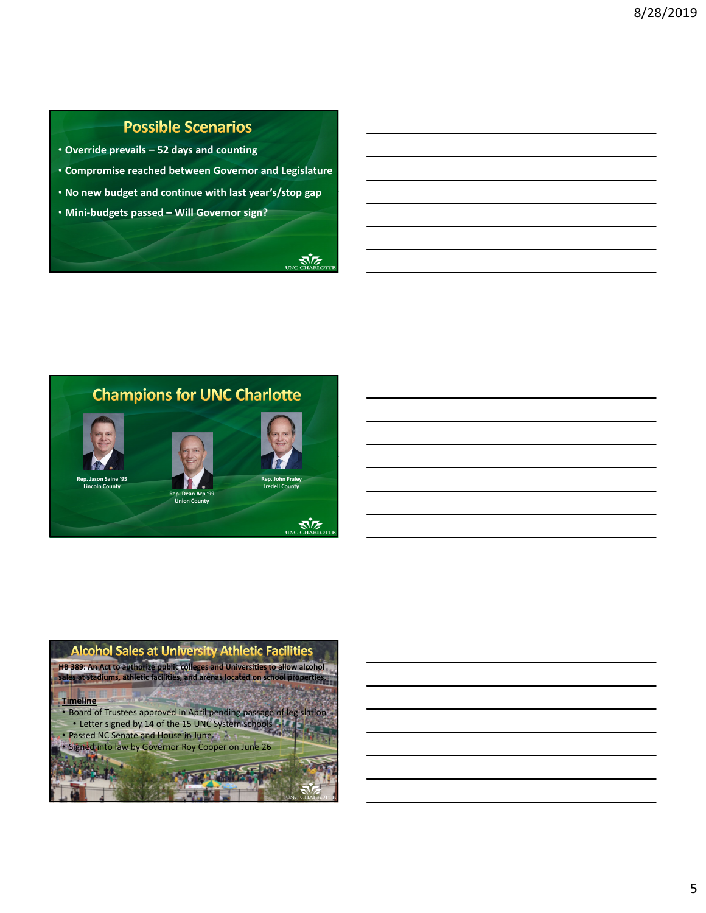# **Possible Scenarios**

- **Override prevails 52 days and counting**
- **Compromise reached between Governor and Legislature**
- **No new budget and continue with last year's/stop gap**
- **Mini‐budgets passed Will Governor sign?**

UNGCHARLOTT



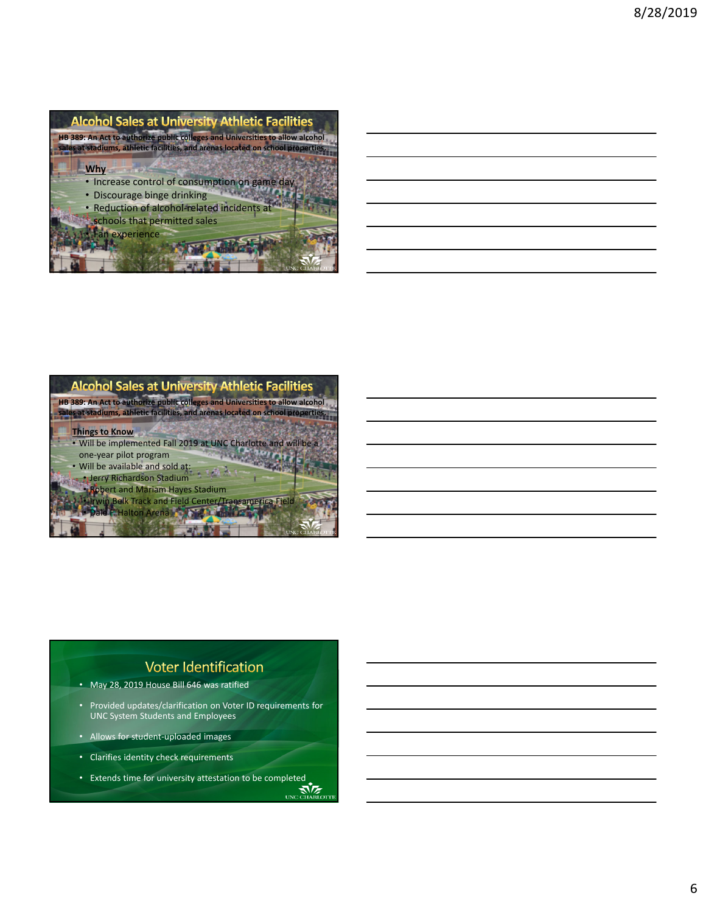



• Jerry Richardson Stadium

• Robert and Mariam Hayes Stadium

• Irwin Belk Track and Field Center/Transamerica Field • Dale F. Halton Arena

#### **Voter Identification**

• May 28, 2019 House Bill 646 was ratified

- Provided updates/clarification on Voter ID requirements for UNC System Students and Employees
- Allows for student‐uploaded images
- Clarifies identity check requirements
- Extends time for university attestation to be completed